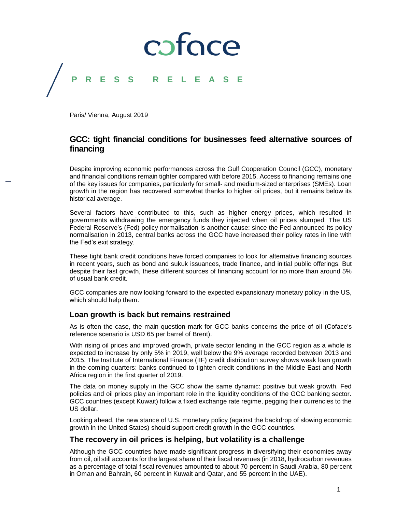## coface **P R E S S R E L E A S E**

Paris/ Vienna, August 2019

### **GCC: tight financial conditions for businesses feed alternative sources of financing**

Despite improving economic performances across the Gulf Cooperation Council (GCC), monetary and financial conditions remain tighter compared with before 2015. Access to financing remains one of the key issues for companies, particularly for small- and medium-sized enterprises (SMEs). Loan growth in the region has recovered somewhat thanks to higher oil prices, but it remains below its historical average.

Several factors have contributed to this, such as higher energy prices, which resulted in governments withdrawing the emergency funds they injected when oil prices slumped. The US Federal Reserve's (Fed) policy normalisation is another cause: since the Fed announced its policy normalisation in 2013, central banks across the GCC have increased their policy rates in line with the Fed's exit strategy.

These tight bank credit conditions have forced companies to look for alternative financing sources in recent years, such as bond and sukuk issuances, trade finance, and initial public offerings. But despite their fast growth, these different sources of financing account for no more than around 5% of usual bank credit.

GCC companies are now looking forward to the expected expansionary monetary policy in the US, which should help them.

### **Loan growth is back but remains restrained**

As is often the case, the main question mark for GCC banks concerns the price of oil (Coface's reference scenario is USD 65 per barrel of Brent).

With rising oil prices and improved growth, private sector lending in the GCC region as a whole is expected to increase by only 5% in 2019, well below the 9% average recorded between 2013 and 2015. The Institute of International Finance (IIF) credit distribution survey shows weak loan growth in the coming quarters: banks continued to tighten credit conditions in the Middle East and North Africa region in the first quarter of 2019.

The data on money supply in the GCC show the same dynamic: positive but weak growth. Fed policies and oil prices play an important role in the liquidity conditions of the GCC banking sector. GCC countries (except Kuwait) follow a fixed exchange rate regime, pegging their currencies to the US dollar.

Looking ahead, the new stance of U.S. monetary policy (against the backdrop of slowing economic growth in the United States) should support credit growth in the GCC countries.

### **The recovery in oil prices is helping, but volatility is a challenge**

Although the GCC countries have made significant progress in diversifying their economies away from oil, oil still accounts for the largest share of their fiscal revenues (in 2018, hydrocarbon revenues as a percentage of total fiscal revenues amounted to about 70 percent in Saudi Arabia, 80 percent in Oman and Bahrain, 60 percent in Kuwait and Qatar, and 55 percent in the UAE).